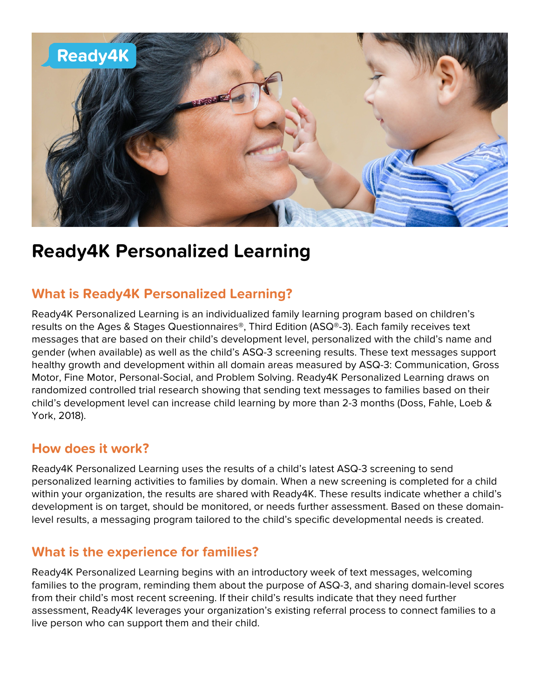

# **Ready4K Personalized Learning**

# **What is Ready4K Personalized Learning?**

Ready4K Personalized Learning is an individualized family learning program based on children's results on the Ages & Stages Questionnaires®, Third Edition (ASQ®-3). Each family receives text messages that are based on their child's development level, personalized with the child's name and gender (when available) as well as the child's ASQ-3 screening results. These text messages support healthy growth and development within all domain areas measured by ASQ-3: Communication, Gross Motor, Fine Motor, Personal-Social, and Problem Solving. Ready4K Personalized Learning draws on randomized controlled trial research showing that sending text messages to families based on their child's development level can increase child learning by more than 2-3 months (Doss, Fahle, Loeb & York, 2018).

## **How does it work?**

Ready4K Personalized Learning uses the results of a child's latest ASQ-3 screening to send personalized learning activities to families by domain. When a new screening is completed for a child within your organization, the results are shared with Ready4K. These results indicate whether a child's development is on target, should be monitored, or needs further assessment. Based on these domainlevel results, a messaging program tailored to the child's specific developmental needs is created.

## **What is the experience for families?**

Ready4K Personalized Learning begins with an introductory week of text messages, welcoming families to the program, reminding them about the purpose of ASQ-3, and sharing domain-level scores from their child's most recent screening. If their child's results indicate that they need further assessment, Ready4K leverages your organization's existing referral process to connect families to a live person who can support them and their child.